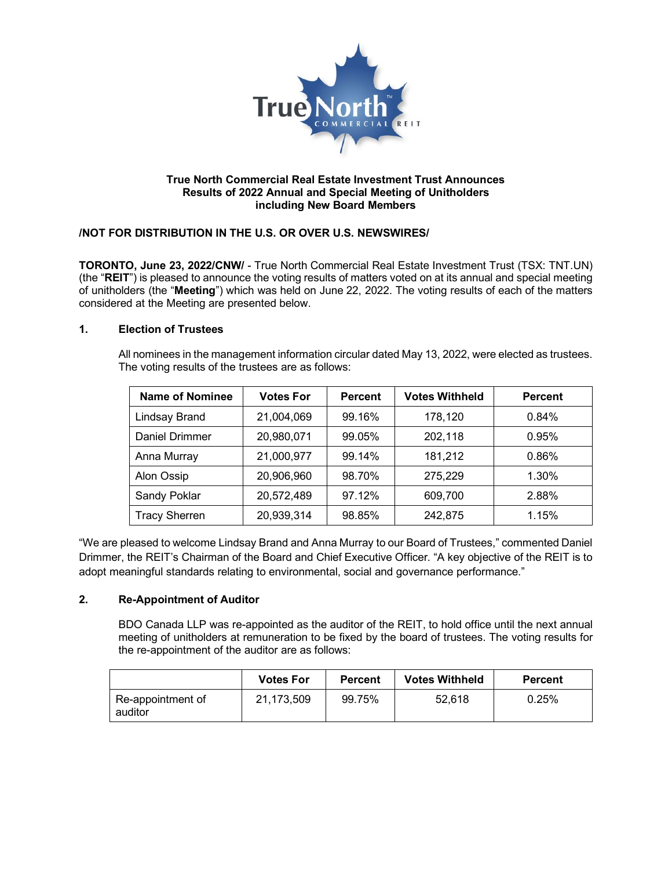

### **True North Commercial Real Estate Investment Trust Announces Results of 2022 Annual and Special Meeting of Unitholders including New Board Members**

# **/NOT FOR DISTRIBUTION IN THE U.S. OR OVER U.S. NEWSWIRES/**

**TORONTO, June 23, 2022/CNW/** - True North Commercial Real Estate Investment Trust (TSX: TNT.UN) (the "**REIT**") is pleased to announce the voting results of matters voted on at its annual and special meeting of unitholders (the "**Meeting**") which was held on June 22, 2022. The voting results of each of the matters considered at the Meeting are presented below.

# **1. Election of Trustees**

All nominees in the management information circular dated May 13, 2022, were elected as trustees. The voting results of the trustees are as follows:

| <b>Name of Nominee</b> | <b>Votes For</b> | <b>Percent</b> | <b>Votes Withheld</b> | <b>Percent</b> |
|------------------------|------------------|----------------|-----------------------|----------------|
| Lindsay Brand          | 21,004,069       | 99.16%         | 178,120               | 0.84%          |
| <b>Daniel Drimmer</b>  | 20,980,071       | 99.05%         | 202,118               | 0.95%          |
| Anna Murray            | 21,000,977       | 99.14%         | 181,212               | 0.86%          |
| Alon Ossip             | 20,906,960       | 98.70%         | 275,229               | 1.30%          |
| Sandy Poklar           | 20,572,489       | 97.12%         | 609,700               | 2.88%          |
| <b>Tracy Sherren</b>   | 20,939,314       | 98.85%         | 242,875               | 1.15%          |

"We are pleased to welcome Lindsay Brand and Anna Murray to our Board of Trustees," commented Daniel Drimmer, the REIT's Chairman of the Board and Chief Executive Officer. "A key objective of the REIT is to adopt meaningful standards relating to environmental, social and governance performance."

# **2. Re-Appointment of Auditor**

BDO Canada LLP was re-appointed as the auditor of the REIT, to hold office until the next annual meeting of unitholders at remuneration to be fixed by the board of trustees. The voting results for the re-appointment of the auditor are as follows:

|                              | <b>Votes For</b> | <b>Percent</b> | <b>Votes Withheld</b> | <b>Percent</b> |
|------------------------------|------------------|----------------|-----------------------|----------------|
| Re-appointment of<br>auditor | 21,173,509       | 99.75%         | 52.618                | 0.25%          |